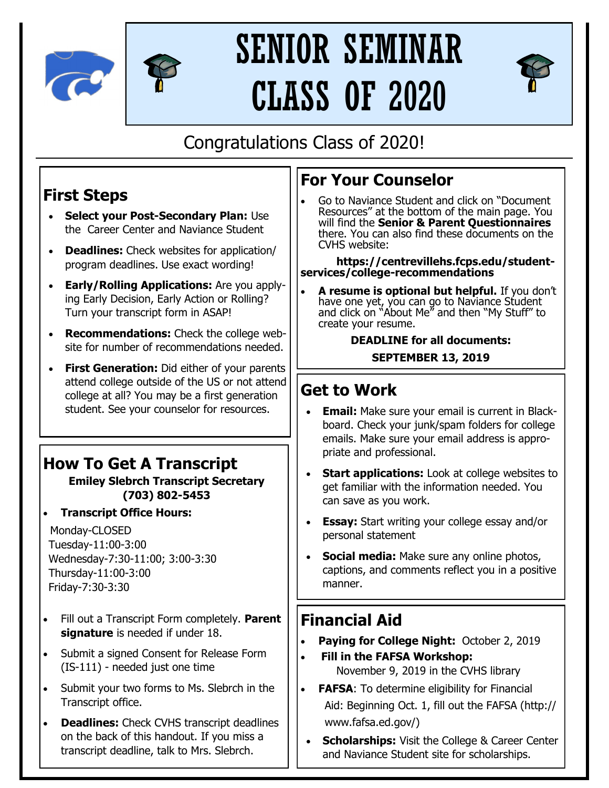



# SENIOR SEMINAR CLASS OF 2020



## Congratulations Class of 2020!

## **First Steps**

- **Select your Post-Secondary Plan:** Use the Career Center and Naviance Student
- **Deadlines:** Check websites for application/ program deadlines. Use exact wording!
- **Early/Rolling Applications:** Are you applying Early Decision, Early Action or Rolling? Turn your transcript form in ASAP!
- **Recommendations:** Check the college website for number of recommendations needed.
- **First Generation:** Did either of your parents attend college outside of the US or not attend college at all? You may be a first generation student. See your counselor for resources.

## **How To Get A Transcript**

#### **Emiley Slebrch Transcript Secretary (703) 802-5453**

• **Transcript Office Hours:**

Monday-CLOSED Tuesday-11:00-3:00 Wednesday-7:30-11:00; 3:00-3:30 Thursday-11:00-3:00 Friday-7:30-3:30

- Fill out a Transcript Form completely. **Parent signature** is needed if under 18.
- Submit a signed Consent for Release Form (IS-111) - needed just one time
- Submit your two forms to Ms. Slebrch in the Transcript office.
- **Deadlines:** Check CVHS transcript deadlines on the back of this handout. If you miss a transcript deadline, talk to Mrs. Slebrch.

### **For Your Counselor**

• Go to Naviance Student and click on "Document Resources" at the bottom of the main page. You will find the **Senior & Parent Questionnaires**  there. You can also find these documents on the CVHS website:

**https://centrevillehs.fcps.edu/studentservices/college-recommendations**

• **A resume is optional but helpful.** If you don't have one yet, you can go to Naviance Student and click on "About Me" and then "My Stuff" to create your resume.

#### **DEADLINE for all documents: SEPTEMBER 13, 2019**

### **Get to Work**

- **Email:** Make sure your email is current in Blackboard. Check your junk/spam folders for college emails. Make sure your email address is appropriate and professional.
- **Start applications:** Look at college websites to get familiar with the information needed. You can save as you work.
- **Essay:** Start writing your college essay and/or personal statement
- **Social media:** Make sure any online photos, captions, and comments reflect you in a positive manner.

#### **Financial Aid**

- **Paying for College Night:** October 2, 2019
- • **Fill in the FAFSA Workshop:** November 9, 2019 in the CVHS library
- **FAFSA:** To determine eligibility for Financial Aid: Beginning Oct. 1, fill out the FAFSA (http:// www.fafsa.ed.gov/)
- **Scholarships:** Visit the College & Career Center and Naviance Student site for scholarships.